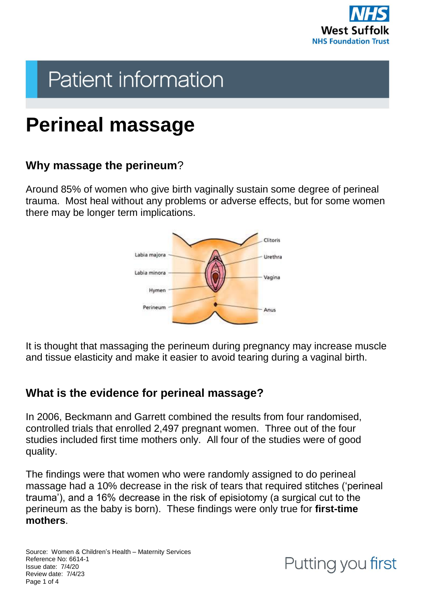

# **Patient information**

## **Perineal massage**

## **Why massage the perineum**?

Around 85% of women who give birth vaginally sustain some degree of perineal trauma. Most heal without any problems or adverse effects, but for some women there may be longer term implications.



It is thought that massaging the perineum during pregnancy may increase muscle and tissue elasticity and make it easier to avoid tearing during a vaginal birth.

## **What is the evidence for perineal massage?**

In 2006, Beckmann and Garrett combined the results from four randomised, controlled trials that enrolled 2,497 pregnant women. Three out of the four studies included first time mothers only. All four of the studies were of good quality.

The findings were that women who were randomly assigned to do perineal massage had a 10% decrease in the risk of tears that required stitches ('perineal trauma'), and a 16% decrease in the risk of episiotomy (a surgical cut to the perineum as the baby is born). These findings were only true for **first-time mothers**.

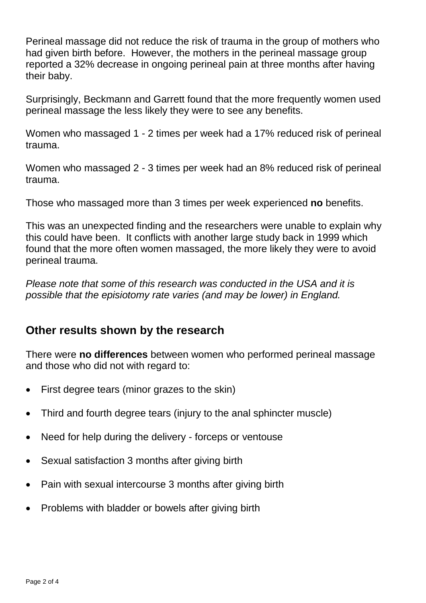Perineal massage did not reduce the risk of trauma in the group of mothers who had given birth before. However, the mothers in the perineal massage group reported a 32% decrease in ongoing perineal pain at three months after having their baby.

Surprisingly, Beckmann and Garrett found that the more frequently women used perineal massage the less likely they were to see any benefits.

Women who massaged 1 - 2 times per week had a 17% reduced risk of perineal trauma.

Women who massaged 2 - 3 times per week had an 8% reduced risk of perineal trauma.

Those who massaged more than 3 times per week experienced **no** benefits.

This was an unexpected finding and the researchers were unable to explain why this could have been. It conflicts with another large study back in 1999 which found that the more often women massaged, the more likely they were to avoid perineal trauma.

*Please note that some of this research was conducted in the USA and it is possible that the episiotomy rate varies (and may be lower) in England.*

### **Other results shown by the research**

There were **no differences** between women who performed perineal massage and those who did not with regard to:

- First degree tears (minor grazes to the skin)
- Third and fourth degree tears (injury to the anal sphincter muscle)
- Need for help during the delivery forceps or ventouse
- Sexual satisfaction 3 months after giving birth
- Pain with sexual intercourse 3 months after giving birth
- Problems with bladder or bowels after giving birth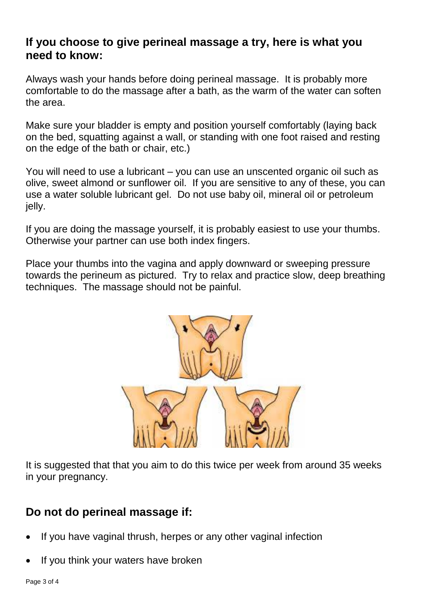#### **If you choose to give perineal massage a try, here is what you need to know:**

Always wash your hands before doing perineal massage. It is probably more comfortable to do the massage after a bath, as the warm of the water can soften the area.

Make sure your bladder is empty and position yourself comfortably (laying back on the bed, squatting against a wall, or standing with one foot raised and resting on the edge of the bath or chair, etc.)

You will need to use a lubricant – you can use an unscented organic oil such as olive, sweet almond or sunflower oil. If you are sensitive to any of these, you can use a water soluble lubricant gel. Do not use baby oil, mineral oil or petroleum jelly.

If you are doing the massage yourself, it is probably easiest to use your thumbs. Otherwise your partner can use both index fingers.

Place your thumbs into the vagina and apply downward or sweeping pressure towards the perineum as pictured. Try to relax and practice slow, deep breathing techniques. The massage should not be painful.



It is suggested that that you aim to do this twice per week from around 35 weeks in your pregnancy.

## **Do not do perineal massage if:**

- If you have vaginal thrush, herpes or any other vaginal infection
- If you think your waters have broken